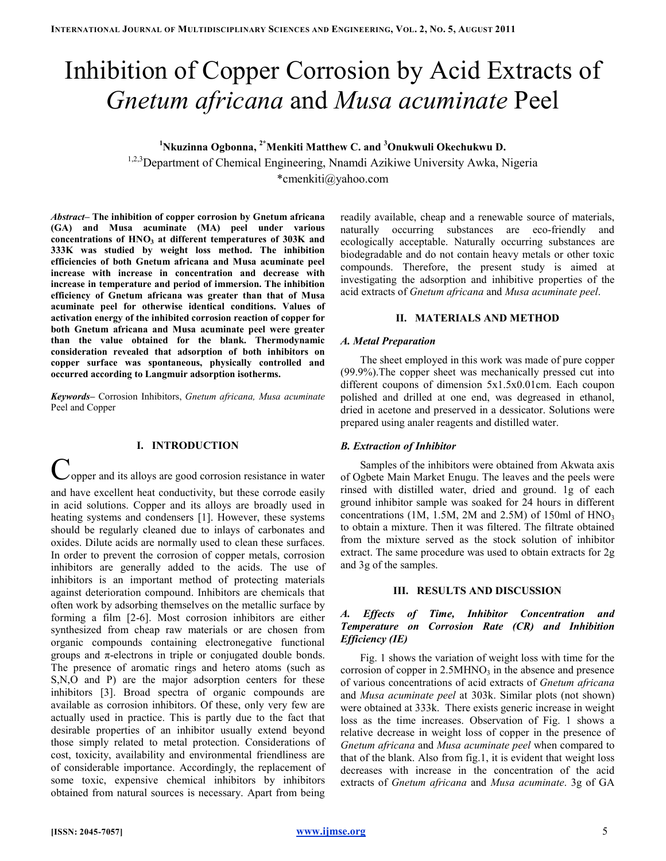# Inhibition of Copper Corrosion by Acid Extracts of Gnetum africana and Musa acuminate Peel

<sup>1</sup>Nkuzinna Ogbonna, <sup>2\*</sup>Menkiti Matthew C. and <sup>3</sup>Onukwuli Okechukwu D.

<sup>1,2,3</sup>Department of Chemical Engineering, Nnamdi Azikiwe University Awka, Nigeria \*cmenkiti@yahoo.com

Abstract– The inhibition of copper corrosion by Gnetum africana (GA) and Musa acuminate (MA) peel under various concentrations of  $HNO<sub>3</sub>$  at different temperatures of 303K and 333K was studied by weight loss method. The inhibition efficiencies of both Gnetum africana and Musa acuminate peel increase with increase in concentration and decrease with increase in temperature and period of immersion. The inhibition efficiency of Gnetum africana was greater than that of Musa acuminate peel for otherwise identical conditions. Values of activation energy of the inhibited corrosion reaction of copper for both Gnetum africana and Musa acuminate peel were greater than the value obtained for the blank. Thermodynamic consideration revealed that adsorption of both inhibitors on copper surface was spontaneous, physically controlled and occurred according to Langmuir adsorption isotherms.

Keywords– Corrosion Inhibitors, Gnetum africana, Musa acuminate Peel and Copper

## I. INTRODUCTION

Copper and its alloys are good corrosion resistance in water and have excellent heat conductivity, but these corrode easily in acid solutions. Copper and its alloys are broadly used in heating systems and condensers [1]. However, these systems should be regularly cleaned due to inlays of carbonates and oxides. Dilute acids are normally used to clean these surfaces. In order to prevent the corrosion of copper metals, corrosion inhibitors are generally added to the acids. The use of inhibitors is an important method of protecting materials against deterioration compound. Inhibitors are chemicals that often work by adsorbing themselves on the metallic surface by forming a film [2-6]. Most corrosion inhibitors are either synthesized from cheap raw materials or are chosen from organic compounds containing electronegative functional groups and  $\pi$ -electrons in triple or conjugated double bonds. The presence of aromatic rings and hetero atoms (such as S,N,O and P) are the major adsorption centers for these inhibitors [3]. Broad spectra of organic compounds are available as corrosion inhibitors. Of these, only very few are actually used in practice. This is partly due to the fact that desirable properties of an inhibitor usually extend beyond those simply related to metal protection. Considerations of cost, toxicity, availability and environmental friendliness are of considerable importance. Accordingly, the replacement of some toxic, expensive chemical inhibitors by inhibitors obtained from natural sources is necessary. Apart from being readily available, cheap and a renewable source of materials, naturally occurring substances are eco-friendly and ecologically acceptable. Naturally occurring substances are biodegradable and do not contain heavy metals or other toxic compounds. Therefore, the present study is aimed at investigating the adsorption and inhibitive properties of the acid extracts of Gnetum africana and Musa acuminate peel.

## II. MATERIALS AND METHOD

## A. Metal Preparation

The sheet employed in this work was made of pure copper (99.9%).The copper sheet was mechanically pressed cut into different coupons of dimension 5x1.5x0.01cm. Each coupon polished and drilled at one end, was degreased in ethanol, dried in acetone and preserved in a dessicator. Solutions were prepared using analer reagents and distilled water.

## B. Extraction of Inhibitor

Samples of the inhibitors were obtained from Akwata axis of Ogbete Main Market Enugu. The leaves and the peels were rinsed with distilled water, dried and ground. 1g of each ground inhibitor sample was soaked for 24 hours in different concentrations (1M, 1.5M, 2M and 2.5M) of 150ml of  $HNO<sub>3</sub>$ to obtain a mixture. Then it was filtered. The filtrate obtained from the mixture served as the stock solution of inhibitor extract. The same procedure was used to obtain extracts for 2g and 3g of the samples.

## III. RESULTS AND DISCUSSION

# A. Effects of Time, Inhibitor Concentration and Temperature on Corrosion Rate (CR) and Inhibition Efficiency (IE)

Fig. 1 shows the variation of weight loss with time for the corrosion of copper in  $2.5MHNO<sub>3</sub>$  in the absence and presence of various concentrations of acid extracts of Gnetum africana and Musa acuminate peel at 303k. Similar plots (not shown) were obtained at 333k. There exists generic increase in weight loss as the time increases. Observation of Fig. 1 shows a relative decrease in weight loss of copper in the presence of Gnetum africana and Musa acuminate peel when compared to that of the blank. Also from fig.1, it is evident that weight loss decreases with increase in the concentration of the acid extracts of Gnetum africana and Musa acuminate. 3g of GA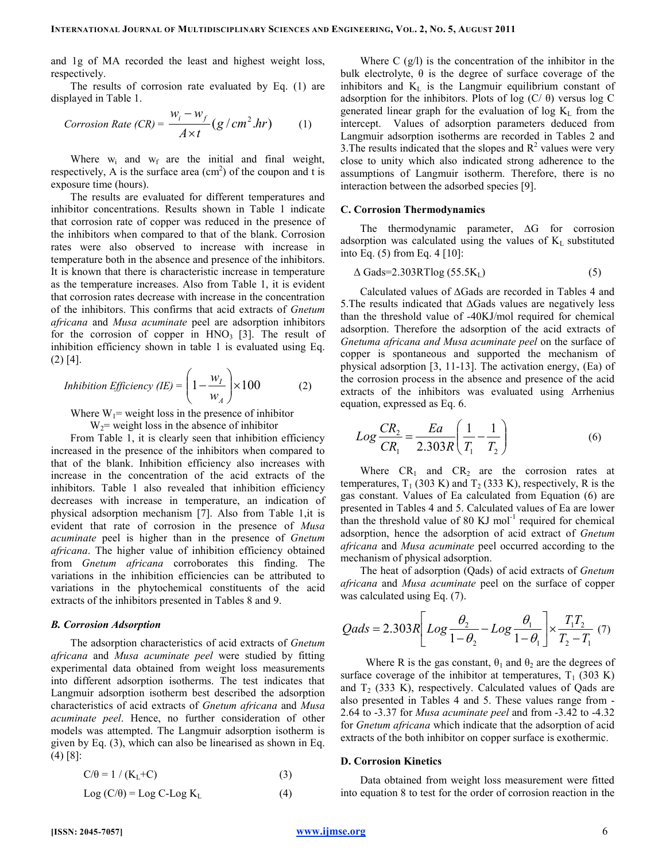and 1g of MA recorded the least and highest weight loss, respectively.

The results of corrosion rate evaluated by Eq. (1) are displayed in Table 1.

Corrosion Rate (CR) = 
$$
\frac{w_i - w_f}{A \times t} (g / cm^2 . hr)
$$
 (1)

Where  $w_i$  and  $w_f$  are the initial and final weight, respectively, A is the surface area  $(cm<sup>2</sup>)$  of the coupon and t is exposure time (hours).

The results are evaluated for different temperatures and inhibitor concentrations. Results shown in Table 1 indicate that corrosion rate of copper was reduced in the presence of the inhibitors when compared to that of the blank. Corrosion rates were also observed to increase with increase in temperature both in the absence and presence of the inhibitors. It is known that there is characteristic increase in temperature as the temperature increases. Also from Table 1, it is evident that corrosion rates decrease with increase in the concentration of the inhibitors. This confirms that acid extracts of Gnetum africana and Musa acuminate peel are adsorption inhibitors for the corrosion of copper in  $HNO<sub>3</sub>$  [3]. The result of inhibition efficiency shown in table 1 is evaluated using Eq.  $(2)$  [4].

*Inhibition Efficiency (IE)* = 
$$
\left(1 - \frac{w_I}{w_A}\right) \times 100
$$
 (2)

Where  $W_1$ = weight loss in the presence of inhibitor  $W_2$ = weight loss in the absence of inhibitor

From Table 1, it is clearly seen that inhibition efficiency increased in the presence of the inhibitors when compared to that of the blank. Inhibition efficiency also increases with increase in the concentration of the acid extracts of the inhibitors. Table 1 also revealed that inhibition efficiency decreases with increase in temperature, an indication of physical adsorption mechanism [7]. Also from Table 1,it is evident that rate of corrosion in the presence of Musa acuminate peel is higher than in the presence of Gnetum africana. The higher value of inhibition efficiency obtained from Gnetum africana corroborates this finding. The variations in the inhibition efficiencies can be attributed to variations in the phytochemical constituents of the acid extracts of the inhibitors presented in Tables 8 and 9.

#### B. Corrosion Adsorption

The adsorption characteristics of acid extracts of Gnetum africana and Musa acuminate peel were studied by fitting experimental data obtained from weight loss measurements into different adsorption isotherms. The test indicates that Langmuir adsorption isotherm best described the adsorption characteristics of acid extracts of Gnetum africana and Musa acuminate peel. Hence, no further consideration of other models was attempted. The Langmuir adsorption isotherm is given by Eq. (3), which can also be linearised as shown in Eq. (4) [8]:

$$
C/\theta = 1 / (K_L + C) \tag{3}
$$

$$
Log (C/\theta) = Log C - Log K_L
$$
 (4)

Where  $C$  (g/l) is the concentration of the inhibitor in the bulk electrolyte,  $\theta$  is the degree of surface coverage of the inhibitors and  $K<sub>L</sub>$  is the Langmuir equilibrium constant of adsorption for the inhibitors. Plots of log (C/ $θ$ ) versus log C generated linear graph for the evaluation of log  $K<sub>L</sub>$  from the intercept. Values of adsorption parameters deduced from Langmuir adsorption isotherms are recorded in Tables 2 and 3. The results indicated that the slopes and  $R^2$  values were very close to unity which also indicated strong adherence to the assumptions of Langmuir isotherm. Therefore, there is no interaction between the adsorbed species [9].

#### C. Corrosion Thermodynamics

The thermodynamic parameter, ∆G for corrosion adsorption was calculated using the values of  $K<sub>L</sub>$  substituted into Eq.  $(5)$  from Eq.  $4 \, [10]$ :

$$
\Delta \text{Gads}=2.303 \text{RTlog} \left(55.5 \text{K}_{\text{L}}\right) \tag{5}
$$

Calculated values of ∆Gads are recorded in Tables 4 and 5.The results indicated that ∆Gads values are negatively less than the threshold value of -40KJ/mol required for chemical adsorption. Therefore the adsorption of the acid extracts of Gnetuma africana and Musa acuminate peel on the surface of copper is spontaneous and supported the mechanism of physical adsorption [3, 11-13]. The activation energy, (Ea) of the corrosion process in the absence and presence of the acid extracts of the inhibitors was evaluated using Arrhenius equation, expressed as Eq. 6.

$$
Log \frac{CR_2}{CR_1} = \frac{Ea}{2.303R} \left( \frac{1}{T_1} - \frac{1}{T_2} \right)
$$
 (6)

Where  $CR_1$  and  $CR_2$  are the corrosion rates at temperatures,  $T_1$  (303 K) and  $T_2$  (333 K), respectively, R is the gas constant. Values of Ea calculated from Equation (6) are presented in Tables 4 and 5. Calculated values of Ea are lower than the threshold value of 80 KJ mol<sup>-1</sup> required for chemical adsorption, hence the adsorption of acid extract of Gnetum africana and Musa acuminate peel occurred according to the mechanism of physical adsorption.

The heat of adsorption (Qads) of acid extracts of Gnetum africana and Musa acuminate peel on the surface of copper was calculated using Eq. (7).

$$
Qads = 2.303R \left[ Log \frac{\theta_2}{1 - \theta_2} - Log \frac{\theta_1}{1 - \theta_1} \right] \times \frac{T_1 T_2}{T_2 - T_1} \tag{7}
$$

Where R is the gas constant,  $\theta_1$  and  $\theta_2$  are the degrees of surface coverage of the inhibitor at temperatures,  $T_1$  (303 K) and  $T_2$  (333 K), respectively. Calculated values of Qads are also presented in Tables 4 and 5. These values range from - 2.64 to -3.37 for Musa acuminate peel and from -3.42 to -4.32 for Gnetum africana which indicate that the adsorption of acid extracts of the both inhibitor on copper surface is exothermic.

#### D. Corrosion Kinetics

Data obtained from weight loss measurement were fitted into equation 8 to test for the order of corrosion reaction in the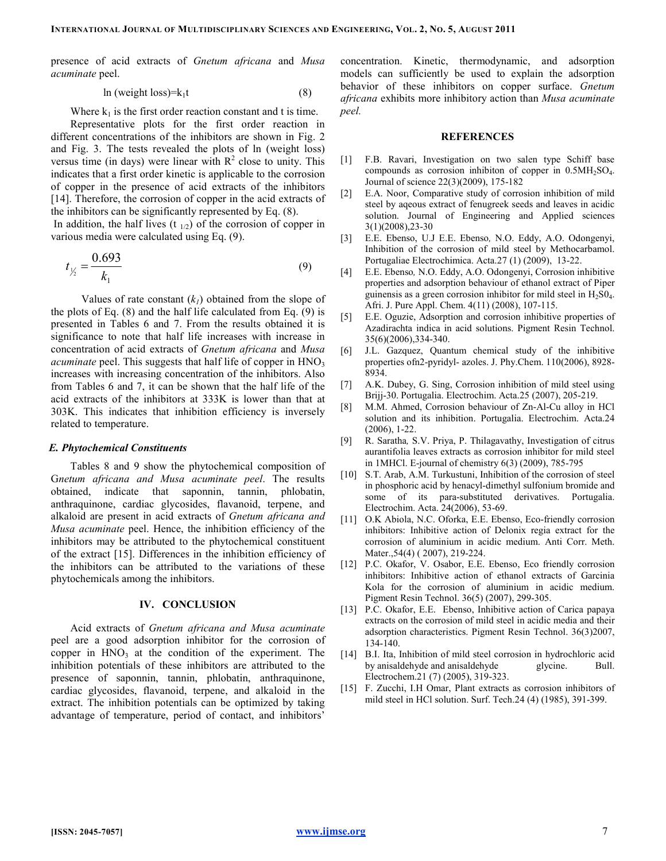presence of acid extracts of Gnetum africana and Musa acuminate peel.

$$
\ln(\text{weight loss}) = k_1 t \tag{8}
$$

Where  $k_1$  is the first order reaction constant and t is time.

Representative plots for the first order reaction in different concentrations of the inhibitors are shown in Fig. 2 and Fig. 3. The tests revealed the plots of ln (weight loss) versus time (in days) were linear with  $R^2$  close to unity. This indicates that a first order kinetic is applicable to the corrosion of copper in the presence of acid extracts of the inhibitors [14]. Therefore, the corrosion of copper in the acid extracts of the inhibitors can be significantly represented by Eq. (8).

In addition, the half lives  $(t_{1/2})$  of the corrosion of copper in various media were calculated using Eq. (9).

$$
t_{\frac{1}{2}} = \frac{0.693}{k_1} \tag{9}
$$

Values of rate constant  $(k_1)$  obtained from the slope of the plots of Eq. (8) and the half life calculated from Eq. (9) is presented in Tables 6 and 7. From the results obtained it is significance to note that half life increases with increase in concentration of acid extracts of Gnetum africana and Musa *acuminate* peel. This suggests that half life of copper in  $HNO<sub>3</sub>$ increases with increasing concentration of the inhibitors. Also from Tables 6 and 7, it can be shown that the half life of the acid extracts of the inhibitors at 333K is lower than that at 303K. This indicates that inhibition efficiency is inversely related to temperature.

#### E. Phytochemical Constituents

Tables 8 and 9 show the phytochemical composition of Gnetum africana and Musa acuminate peel. The results obtained, indicate that saponnin, tannin, phlobatin, anthraquinone, cardiac glycosides, flavanoid, terpene, and alkaloid are present in acid extracts of Gnetum africana and Musa acuminate peel. Hence, the inhibition efficiency of the inhibitors may be attributed to the phytochemical constituent of the extract [15]. Differences in the inhibition efficiency of the inhibitors can be attributed to the variations of these phytochemicals among the inhibitors.

### IV. CONCLUSION

Acid extracts of Gnetum africana and Musa acuminate peel are a good adsorption inhibitor for the corrosion of copper in  $HNO<sub>3</sub>$  at the condition of the experiment. The inhibition potentials of these inhibitors are attributed to the presence of saponnin, tannin, phlobatin, anthraquinone, cardiac glycosides, flavanoid, terpene, and alkaloid in the extract. The inhibition potentials can be optimized by taking advantage of temperature, period of contact, and inhibitors'

concentration. Kinetic, thermodynamic, and adsorption models can sufficiently be used to explain the adsorption behavior of these inhibitors on copper surface. Gnetum africana exhibits more inhibitory action than Musa acuminate peel.

#### **REFERENCES**

- [1] F.B. Ravari, Investigation on two salen type Schiff base compounds as corrosion inhibiton of copper in  $0.5MH_2SO_4$ . Journal of science 22(3)(2009), 175-182
- [2] E.A. Noor, Comparative study of corrosion inhibition of mild steel by aqeous extract of fenugreek seeds and leaves in acidic solution. Journal of Engineering and Applied sciences 3(1)(2008),23-30
- [3] E.E. Ebenso, U.J E.E. Ebenso, N.O. Eddy, A.O. Odongenyi, Inhibition of the corrosion of mild steel by Methocarbamol. Portugaliae Electrochimica. Acta.27 (1) (2009), 13-22.
- [4] E.E. Ebenso, N.O. Eddy, A.O. Odongenyi, Corrosion inhibitive properties and adsorption behaviour of ethanol extract of Piper guinensis as a green corrosion inhibitor for mild steel in  $H_2S0_4$ . Afri. J. Pure Appl. Chem. 4(11) (2008), 107-115.
- [5] E.E. Oguzie, Adsorption and corrosion inhibitive properties of Azadirachta indica in acid solutions. Pigment Resin Technol. 35(6)(2006),334-340.
- [6] J.L. Gazquez, Quantum chemical study of the inhibitive properties ofn2-pyridyl- azoles. J. Phy.Chem. 110(2006), 8928- 8934.
- [7] A.K. Dubey, G. Sing, Corrosion inhibition of mild steel using Brijj-30. Portugalia. Electrochim. Acta.25 (2007), 205-219.
- [8] M.M. Ahmed, Corrosion behaviour of Zn-Al-Cu alloy in HCl solution and its inhibition. Portugalia. Electrochim. Acta.24 (2006), 1-22.
- [9] R. Saratha, S.V. Priya, P. Thilagavathy, Investigation of citrus aurantifolia leaves extracts as corrosion inhibitor for mild steel in 1MHCl. E-journal of chemistry 6(3) (2009), 785-795
- [10] S.T. Arab, A.M. Turkustuni, Inhibition of the corrosion of steel in phosphoric acid by henacyl-dimethyl sulfonium bromide and some of its para-substituted derivatives. Portugalia. Electrochim. Acta. 24(2006), 53-69.
- [11] O.K Abiola, N.C. Oforka, E.E. Ebenso, Eco-friendly corrosion inhibitors: Inhibitive action of Delonix regia extract for the corrosion of aluminium in acidic medium. Anti Corr. Meth. Mater.,54(4) ( 2007), 219-224.
- [12] P.C. Okafor, V. Osabor, E.E. Ebenso, Eco friendly corrosion inhibitors: Inhibitive action of ethanol extracts of Garcinia Kola for the corrosion of aluminium in acidic medium. Pigment Resin Technol. 36(5) (2007), 299-305.
- [13] P.C. Okafor, E.E. Ebenso, Inhibitive action of Carica papaya extracts on the corrosion of mild steel in acidic media and their adsorption characteristics. Pigment Resin Technol. 36(3)2007, 134-140.
- [14] B.I. Ita, Inhibition of mild steel corrosion in hydrochloric acid by anisaldehyde and anisaldehyde glycine. Bull. Electrochem.21 (7) (2005), 319-323.
- [15] F. Zucchi, I.H Omar, Plant extracts as corrosion inhibitors of mild steel in HCl solution. Surf. Tech.24 (4) (1985), 391-399.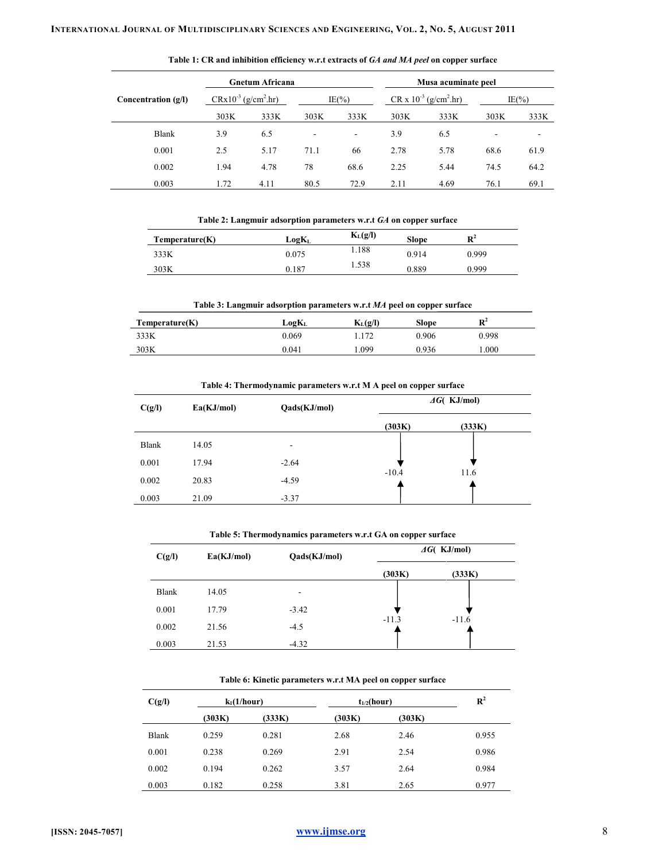|                       |                          | Gnetum Africana |      |                          |      | Musa acuminate peel             |      |                          |
|-----------------------|--------------------------|-----------------|------|--------------------------|------|---------------------------------|------|--------------------------|
| Concentration $(g/I)$ | $CRx10^{-3} (g/cm^2.hr)$ |                 |      | $IE(\% )$                |      | $CR \times 10^{-3} (g/cm^2.hr)$ |      | $IE(\% )$                |
|                       | 303K                     | 333K            | 303K | 333K                     | 303K | 333K                            | 303K | 333K                     |
| <b>Blank</b>          | 3.9                      | 6.5             | ۰    | $\overline{\phantom{a}}$ | 3.9  | 6.5                             |      | $\overline{\phantom{0}}$ |
| 0.001                 | 2.5                      | 5.17            | 71.1 | 66                       | 2.78 | 5.78                            | 68.6 | 61.9                     |
| 0.002                 | 1.94                     | 4.78            | 78   | 68.6                     | 2.25 | 5.44                            | 74.5 | 64.2                     |
| 0.003                 | 1.72                     | 4.11            | 80.5 | 72.9                     | 2.11 | 4.69                            | 76.1 | 69.1                     |

Table 1: CR and inhibition efficiency w.r.t extracts of GA and MA peel on copper surface

|  |  | Table 2: Langmuir adsorption parameters w.r.t GA on copper surface |
|--|--|--------------------------------------------------------------------|
|  |  |                                                                    |

| Temperature(K) | LogK <sub>L</sub> | $K_{L}(g/I)$ | <b>Slope</b> | $\mathbf{R}^2$ |
|----------------|-------------------|--------------|--------------|----------------|
| 333K           | 0.075             | 1.188        | 0.914        | 0.999          |
| 303K           | 0.187             | 1.538        | 0.889        | 0.999          |

| Temperature(K) | $\log{\!}\rm{K}_{\rm{I}}$ | $K_{L}(g/I)$ | <b>Slope</b> | $\mathbf{R}^2$ |
|----------------|---------------------------|--------------|--------------|----------------|
| 333K           | 0.069                     | .172         | 0.906        | 0.998          |
| 303K           | 0.041                     | .099         | 0.936        | .000           |

| C(g/I)       | Ea(KJ/mol)<br>Qads(KJ/mol) |         |         | $\Delta G$ (KJ/mol) |
|--------------|----------------------------|---------|---------|---------------------|
|              |                            |         | (303K)  | (333K)              |
| <b>Blank</b> | 14.05                      | ۰       |         |                     |
| 0.001        | 17.94                      | $-2.64$ |         |                     |
| 0.002        | 20.83                      | $-4.59$ | $-10.4$ | 11.6                |
| 0.003        | 21.09                      | $-3.37$ |         |                     |

Table 4: Thermodynamic parameters w.r.t M A peel on copper surface

Table 5: Thermodynamics parameters w.r.t GA on copper surface

| C(g/I) | Ea(KJ/mol) | Qads(KJ/mol) | $\triangle G$ (KJ/mol) |         |  |
|--------|------------|--------------|------------------------|---------|--|
|        |            |              | (303K)                 | (333K)  |  |
| Blank  | 14.05      | ٠            |                        |         |  |
| 0.001  | 17.79      | $-3.42$      |                        |         |  |
| 0.002  | 21.56      | $-4.5$       | $-11.3$                | $-11.6$ |  |
| 0.003  | 21.53      | $-4.32$      |                        |         |  |

## Table 6: Kinetic parameters w.r.t MA peel on copper surface

| C(g/I)       | $k_1(1/hour)$ |        | $t_{1/2}$ (hour) |        | $R^2$ |
|--------------|---------------|--------|------------------|--------|-------|
|              | (303K)        | (333K) | (303K)           | (303K) |       |
| <b>Blank</b> | 0.259         | 0.281  | 2.68             | 2.46   | 0.955 |
| 0.001        | 0.238         | 0.269  | 2.91             | 2.54   | 0.986 |
| 0.002        | 0.194         | 0.262  | 3.57             | 2.64   | 0.984 |
| 0.003        | 0.182         | 0.258  | 3.81             | 2.65   | 0.977 |